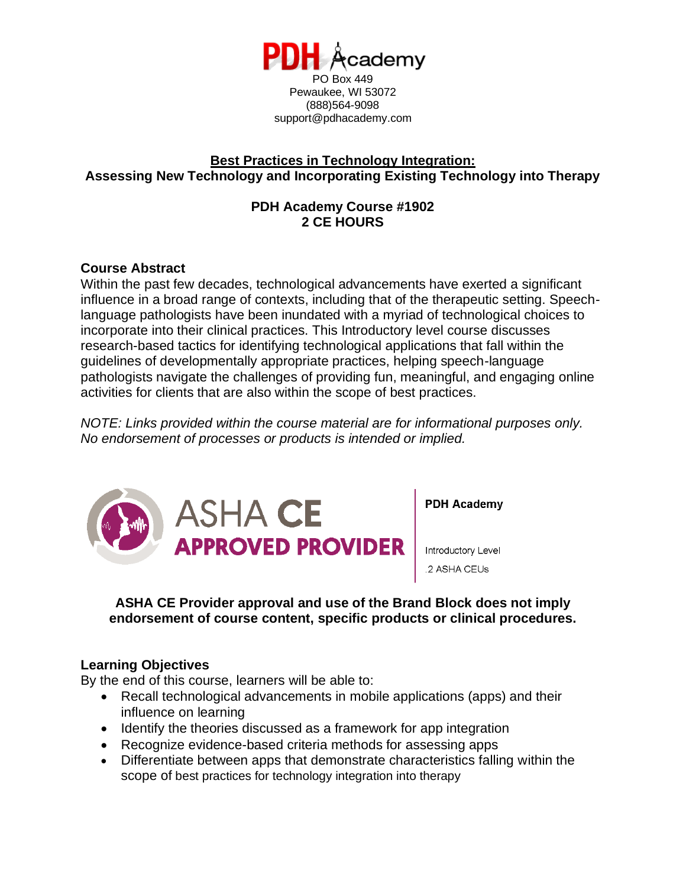

support@pdhacademy.com

# **Best Practices in Technology Integration: Assessing New Technology and Incorporating Existing Technology into Therapy**

# **PDH Academy Course #1902 2 CE HOURS**

# **Course Abstract**

Within the past few decades, technological advancements have exerted a significant influence in a broad range of contexts, including that of the therapeutic setting. Speechlanguage pathologists have been inundated with a myriad of technological choices to incorporate into their clinical practices. This Introductory level course discusses research-based tactics for identifying technological applications that fall within the guidelines of developmentally appropriate practices, helping speech-language pathologists navigate the challenges of providing fun, meaningful, and engaging online activities for clients that are also within the scope of best practices.

*NOTE: Links provided within the course material are for informational purposes only. No endorsement of processes or products is intended or implied.*



### **ASHA CE Provider approval and use of the Brand Block does not imply endorsement of course content, specific products or clinical procedures.**

# **Learning Objectives**

By the end of this course, learners will be able to:

- Recall technological advancements in mobile applications (apps) and their influence on learning
- Identify the theories discussed as a framework for app integration
- Recognize evidence-based criteria methods for assessing apps
- Differentiate between apps that demonstrate characteristics falling within the scope of best practices for technology integration into therapy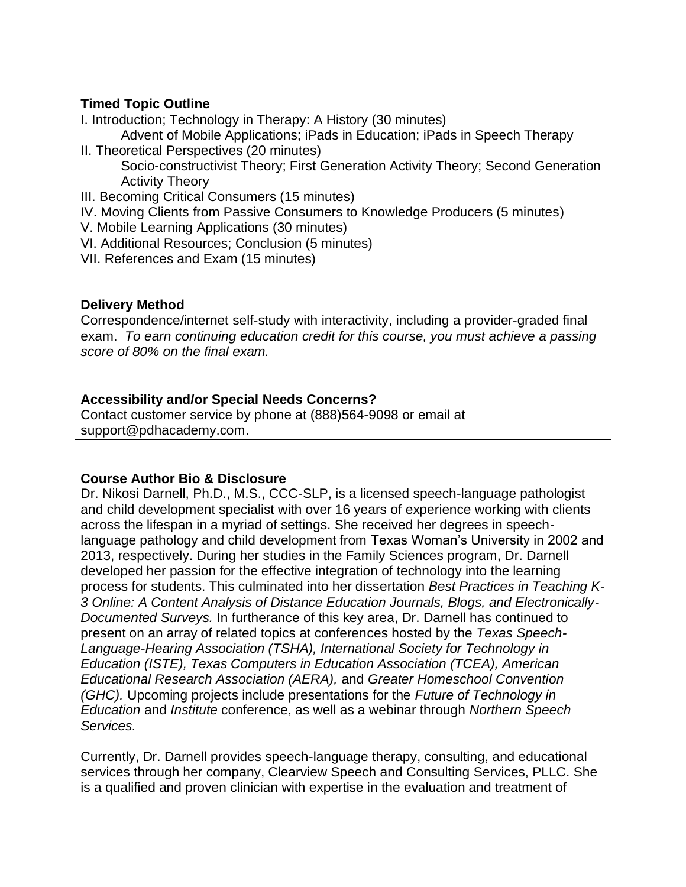### **Timed Topic Outline**

I. Introduction; Technology in Therapy: A History (30 minutes)

Advent of Mobile Applications; iPads in Education; iPads in Speech Therapy

- II. Theoretical Perspectives (20 minutes) Socio-constructivist Theory; First Generation Activity Theory; Second Generation Activity Theory
- III. Becoming Critical Consumers (15 minutes)
- IV. Moving Clients from Passive Consumers to Knowledge Producers (5 minutes)
- V. Mobile Learning Applications (30 minutes)
- VI. Additional Resources; Conclusion (5 minutes)
- VII. References and Exam (15 minutes)

### **Delivery Method**

Correspondence/internet self-study with interactivity, including a provider-graded final exam. *To earn continuing education credit for this course, you must achieve a passing score of 80% on the final exam.*

### **Accessibility and/or Special Needs Concerns?**

Contact customer service by phone at (888)564-9098 or email at support@pdhacademy.com.

# **Course Author Bio & Disclosure**

Dr. Nikosi Darnell, Ph.D., M.S., CCC-SLP, is a licensed speech-language pathologist and child development specialist with over 16 years of experience working with clients across the lifespan in a myriad of settings. She received her degrees in speechlanguage pathology and child development from Texas Woman's University in 2002 and 2013, respectively. During her studies in the Family Sciences program, Dr. Darnell developed her passion for the effective integration of technology into the learning process for students. This culminated into her dissertation *Best Practices in Teaching K-3 Online: A Content Analysis of Distance Education Journals, Blogs, and Electronically-Documented Surveys.* In furtherance of this key area, Dr. Darnell has continued to present on an array of related topics at conferences hosted by the *Texas Speech-Language-Hearing Association (TSHA), International Society for Technology in Education (ISTE), Texas Computers in Education Association (TCEA), American Educational Research Association (AERA),* and *Greater Homeschool Convention (GHC).* Upcoming projects include presentations for the *Future of Technology in Education* and *Institute* conference, as well as a webinar through *Northern Speech Services.*

Currently, Dr. Darnell provides speech-language therapy, consulting, and educational services through her company, Clearview Speech and Consulting Services, PLLC. She is a qualified and proven clinician with expertise in the evaluation and treatment of